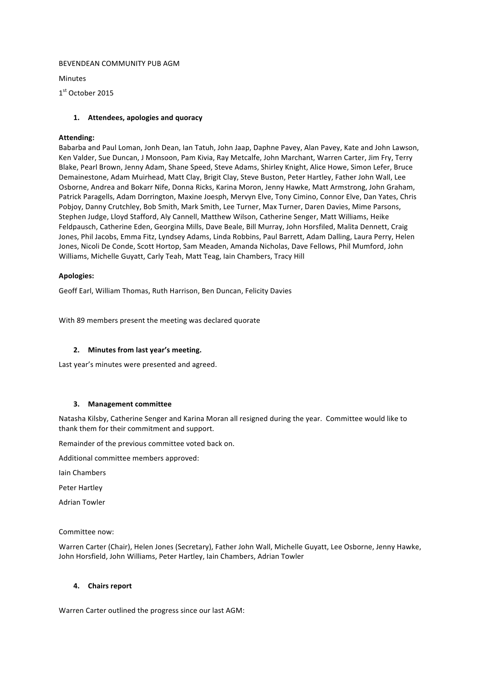### BEVENDEAN COMMUNITY PUB AGM

Minutes

1<sup>st</sup> October 2015

## **1. Attendees, apologies and quoracy**

### **Attending:**

Babarba and Paul Loman, Jonh Dean, Ian Tatuh, John Jaap, Daphne Pavey, Alan Pavey, Kate and John Lawson, Ken Valder, Sue Duncan, J Monsoon, Pam Kivia, Ray Metcalfe, John Marchant, Warren Carter, Jim Fry, Terry Blake, Pearl Brown, Jenny Adam, Shane Speed, Steve Adams, Shirley Knight, Alice Howe, Simon Lefer, Bruce Demainestone, Adam Muirhead, Matt Clay, Brigit Clay, Steve Buston, Peter Hartley, Father John Wall, Lee Osborne, Andrea and Bokarr Nife, Donna Ricks, Karina Moron, Jenny Hawke, Matt Armstrong, John Graham, Patrick Paragells, Adam Dorrington, Maxine Joesph, Mervyn Elve, Tony Cimino, Connor Elve, Dan Yates, Chris Pobjoy, Danny Crutchley, Bob Smith, Mark Smith, Lee Turner, Max Turner, Daren Davies, Mime Parsons, Stephen Judge, Lloyd Stafford, Aly Cannell, Matthew Wilson, Catherine Senger, Matt Williams, Heike Feldpausch, Catherine Eden, Georgina Mills, Dave Beale, Bill Murray, John Horsfiled, Malita Dennett, Craig Jones, Phil Jacobs, Emma Fitz, Lyndsey Adams, Linda Robbins, Paul Barrett, Adam Dalling, Laura Perry, Helen Jones, Nicoli De Conde, Scott Hortop, Sam Meaden, Amanda Nicholas, Dave Fellows, Phil Mumford, John Williams, Michelle Guyatt, Carly Teah, Matt Teag, Iain Chambers, Tracy Hill

### **Apologies:**

Geoff Earl, William Thomas, Ruth Harrison, Ben Duncan, Felicity Davies

With 89 members present the meeting was declared quorate

#### **2. Minutes from last year's meeting.**

Last year's minutes were presented and agreed.

#### **3.** Management committee

Natasha Kilsby, Catherine Senger and Karina Moran all resigned during the year. Committee would like to thank them for their commitment and support.

Remainder of the previous committee voted back on.

Additional committee members approved:

Iain Chambers

Peter Hartley

Adrian Towler

Committee now:

Warren Carter (Chair), Helen Jones (Secretary), Father John Wall, Michelle Guyatt, Lee Osborne, Jenny Hawke, John Horsfield, John Williams, Peter Hartley, Iain Chambers, Adrian Towler

## **4. Chairs report**

Warren Carter outlined the progress since our last AGM: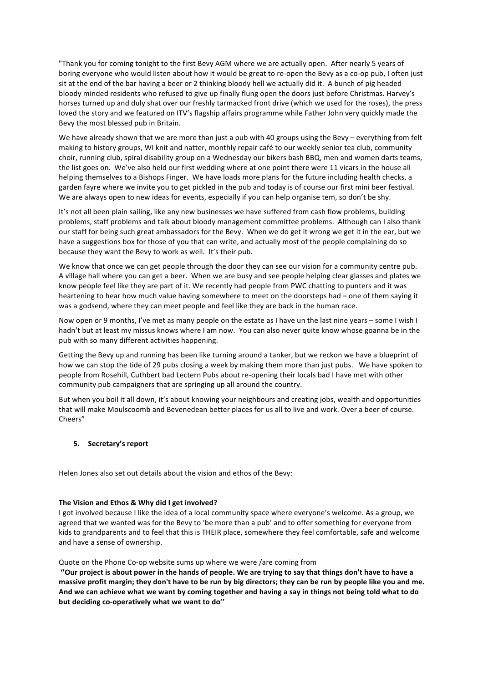"Thank you for coming tonight to the first Bevy AGM where we are actually open. After nearly 5 years of boring everyone who would listen about how it would be great to re-open the Bevy as a co-op pub, I often just sit at the end of the bar having a beer or 2 thinking bloody hell we actually did it. A bunch of pig headed bloody minded residents who refused to give up finally flung open the doors just before Christmas. Harvey's horses turned up and duly shat over our freshly tarmacked front drive (which we used for the roses), the press loved the story and we featured on ITV's flagship affairs programme while Father John very quickly made the Bevy the most blessed pub in Britain.

We have already shown that we are more than just a pub with 40 groups using the Bevy – everything from felt making to history groups, WI knit and natter, monthly repair café to our weekly senior tea club, community choir, running club, spiral disability group on a Wednesday our bikers bash BBQ, men and women darts teams, the list goes on. We've also held our first wedding where at one point there were 11 vicars in the house all helping themselves to a Bishops Finger. We have loads more plans for the future including health checks, a garden fayre where we invite you to get pickled in the pub and today is of course our first mini beer festival. We are always open to new ideas for events, especially if you can help organise tem, so don't be shy.

It's not all been plain sailing, like any new businesses we have suffered from cash flow problems, building problems, staff problems and talk about bloody management committee problems. Although can I also thank our staff for being such great ambassadors for the Bevy. When we do get it wrong we get it in the ear, but we have a suggestions box for those of you that can write, and actually most of the people complaining do so because they want the Bevy to work as well. It's their pub.

We know that once we can get people through the door they can see our vision for a community centre pub. A village hall where you can get a beer. When we are busy and see people helping clear glasses and plates we know people feel like they are part of it. We recently had people from PWC chatting to punters and it was heartening to hear how much value having somewhere to meet on the doorsteps had - one of them saying it was a godsend, where they can meet people and feel like they are back in the human race.

Now open or 9 months, I've met as many people on the estate as I have un the last nine years – some I wish I hadn't but at least my missus knows where I am now. You can also never quite know whose goanna be in the pub with so many different activities happening.

Getting the Bevy up and running has been like turning around a tanker, but we reckon we have a blueprint of how we can stop the tide of 29 pubs closing a week by making them more than just pubs. We have spoken to people from Rosehill, Cuthbert bad Lectern Pubs about re-opening their locals bad I have met with other community pub campaigners that are springing up all around the country.

But when you boil it all down, it's about knowing your neighbours and creating jobs, wealth and opportunities that will make Moulscoomb and Bevenedean better places for us all to live and work. Over a beer of course. Cheers"

## **5.** Secretary's report

Helen Jones also set out details about the vision and ethos of the Bevy:

#### The Vision and Ethos & Why did I get involved?

I got involved because I like the idea of a local community space where everyone's welcome. As a group, we agreed that we wanted was for the Bevy to 'be more than a pub' and to offer something for everyone from kids to grandparents and to feel that this is THEIR place, somewhere they feel comfortable, safe and welcome and have a sense of ownership.

### Quote on the Phone Co-op website sums up where we were /are coming from

"Our project is about power in the hands of people. We are trying to say that things don't have to have a massive profit margin; they don't have to be run by big directors; they can be run by people like you and me. And we can achieve what we want by coming together and having a say in things not being told what to do but deciding co-operatively what we want to do"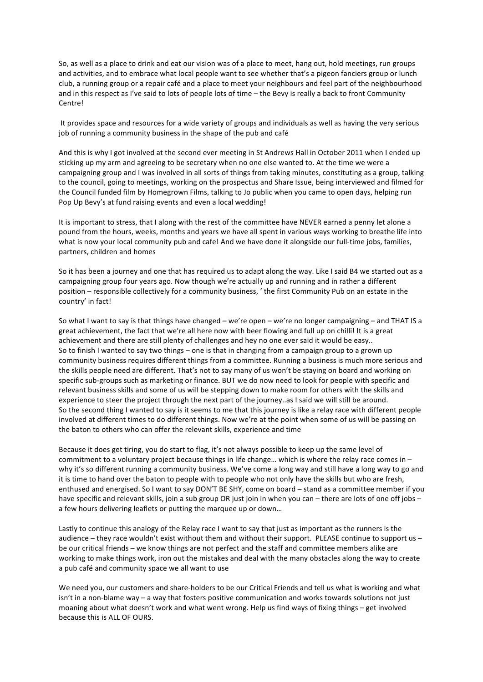So, as well as a place to drink and eat our vision was of a place to meet, hang out, hold meetings, run groups and activities, and to embrace what local people want to see whether that's a pigeon fanciers group or lunch club, a running group or a repair café and a place to meet your neighbours and feel part of the neighbourhood and in this respect as I've said to lots of people lots of time - the Bevy is really a back to front Community Centre! 

It provides space and resources for a wide variety of groups and individuals as well as having the very serious job of running a community business in the shape of the pub and café

And this is why I got involved at the second ever meeting in St Andrews Hall in October 2011 when I ended up sticking up my arm and agreeing to be secretary when no one else wanted to. At the time we were a campaigning group and I was involved in all sorts of things from taking minutes, constituting as a group, talking to the council, going to meetings, working on the prospectus and Share Issue, being interviewed and filmed for the Council funded film by Homegrown Films, talking to Jo public when you came to open days, helping run Pop Up Bevy's at fund raising events and even a local wedding!

It is important to stress, that I along with the rest of the committee have NEVER earned a penny let alone a pound from the hours, weeks, months and years we have all spent in various ways working to breathe life into what is now your local community pub and cafe! And we have done it alongside our full-time jobs, families, partners, children and homes

So it has been a journey and one that has required us to adapt along the way. Like I said B4 we started out as a campaigning group four years ago. Now though we're actually up and running and in rather a different position – responsible collectively for a community business, ' the first Community Pub on an estate in the country' in fact!

So what I want to say is that things have changed – we're open – we're no longer campaigning – and THAT IS a great achievement, the fact that we're all here now with beer flowing and full up on chilli! It is a great achievement and there are still plenty of challenges and hey no one ever said it would be easy.. So to finish I wanted to say two things – one is that in changing from a campaign group to a grown up community business requires different things from a committee. Running a business is much more serious and the skills people need are different. That's not to say many of us won't be staying on board and working on specific sub-groups such as marketing or finance. BUT we do now need to look for people with specific and relevant business skills and some of us will be stepping down to make room for others with the skills and experience to steer the project through the next part of the journey..as I said we will still be around. So the second thing I wanted to say is it seems to me that this journey is like a relay race with different people involved at different times to do different things. Now we're at the point when some of us will be passing on the baton to others who can offer the relevant skills, experience and time

Because it does get tiring, you do start to flag, it's not always possible to keep up the same level of commitment to a voluntary project because things in life change... which is where the relay race comes in  $$ why it's so different running a community business. We've come a long way and still have a long way to go and it is time to hand over the baton to people with to people who not only have the skills but who are fresh, enthused and energised. So I want to say DON'T BE SHY, come on board - stand as a committee member if you have specific and relevant skills, join a sub group OR just join in when you can – there are lots of one off jobs – a few hours delivering leaflets or putting the marquee up or down...

Lastly to continue this analogy of the Relay race I want to say that just as important as the runners is the audience – they race wouldn't exist without them and without their support. PLEASE continue to support us – be our critical friends – we know things are not perfect and the staff and committee members alike are working to make things work, iron out the mistakes and deal with the many obstacles along the way to create a pub café and community space we all want to use

We need you, our customers and share-holders to be our Critical Friends and tell us what is working and what isn't in a non-blame way – a way that fosters positive communication and works towards solutions not just moaning about what doesn't work and what went wrong. Help us find ways of fixing things – get involved because this is ALL OF OURS.